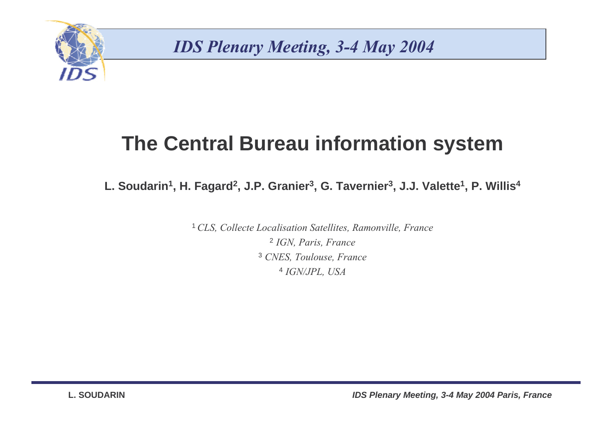

### **The Central Bureau information system**

**L. Soudarin<sup>1</sup>, H. Fagard<sup>2</sup>, J.P. Granier<sup>3</sup>, G. Tavernier<sup>3</sup>, J.J. Valette<sup>1</sup>, P. Willis<sup>4</sup>**

<sup>1</sup> CLS, Collecte Localisation Satellites, Ramonville, France <sup>2</sup> IGN, Paris, France <sup>3</sup> CNES, Toulouse, France <sup>4</sup> IGN/JPL, USA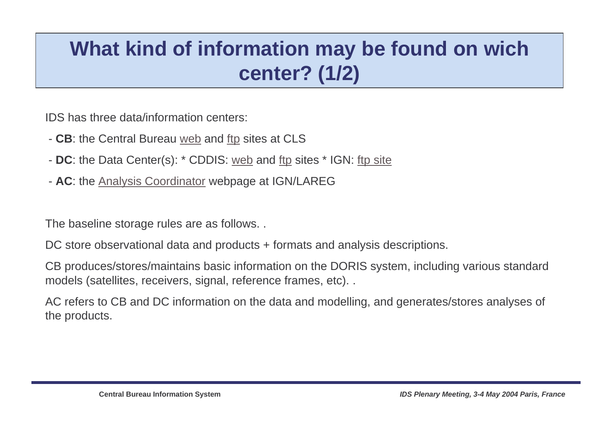## **What kind of information may be found on wich center? (1/2)**

IDS has three data/information centers:

- **CB**: the Central Bureau web and ftp sites at CLS
- **DC**: the Data Center(s): \* CDDIS: web and ftp sites \* IGN: ftp site
- **AC**: the Analysis Coordinator webpage at IGN/LAREG

The baseline storage rules are as follows. .

DC store observational data and products + formats and analysis descriptions.

CB produces/stores/maintains basic information on the DORIS system, including various standard models (satellites, receivers, signal, reference frames, etc). .

AC refers to CB and DC information on the data and modelling, and generates/stores analyses of the products.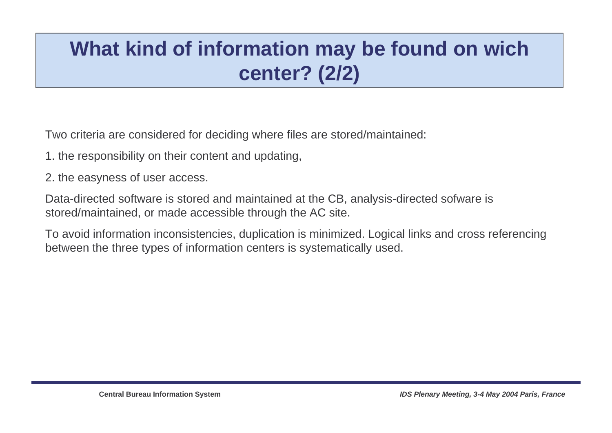## **What kind of information may be found on wich center? (2/2)**

Two criteria are considered for deciding where files are stored/maintained:

- 1. the responsibility on their content and updating,
- 2. the easyness of user access.

Data-directed software is stored and maintained at the CB, analysis-directed sofware is stored/maintained, or made accessible through the AC site.

To avoid information inconsistencies, duplication is minimized. Logical links and cross referencing between the three types of information centers is systematically used.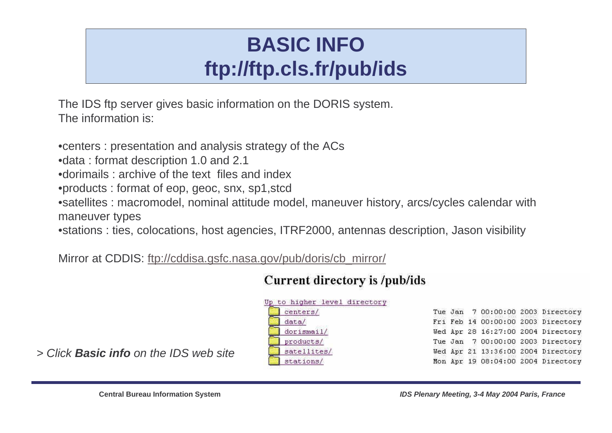## **BASIC INFOftp://ftp.cls.fr/pub/ids**

The IDS ftp server gives basic information on the DORIS system. The information is:

•centers : presentation and analysis strategy of the ACs•data : format description 1.0 and 2.1 •dorimails : archive of the text files and index •products : format of eop, geoc, snx, sp1,stcd •satellites : macromodel, nominal attitude model, maneuver history, arcs/cycles calendar with maneuver types

•stations : ties, colocations, host agencies, ITRF2000, antennas description, Jason visibility

Mirror at CDDIS: ftp://cddisa.gsfc.nasa.gov/pub/doris/cb\_mirror/

#### Current directory is /pub/ids

| to higher level directory |  |  |                                    |
|---------------------------|--|--|------------------------------------|
| centers/                  |  |  | Tue Jan 7 00:00:00 2003 Directory  |
| data/a/                   |  |  | Fri Feb 14 00:00:00 2003 Directory |
| dorismail/                |  |  | Wed Apr 28 16:27:00 2004 Directory |
| products/                 |  |  | Tue Jan 7 00:00:00 2003 Directory  |
| satellites/               |  |  | Wed Apr 21 13:36:00 2004 Directory |
| stations/                 |  |  | Mon Apr 19 08:04:00 2004 Directory |

> Click **Basic info** on the IDS web site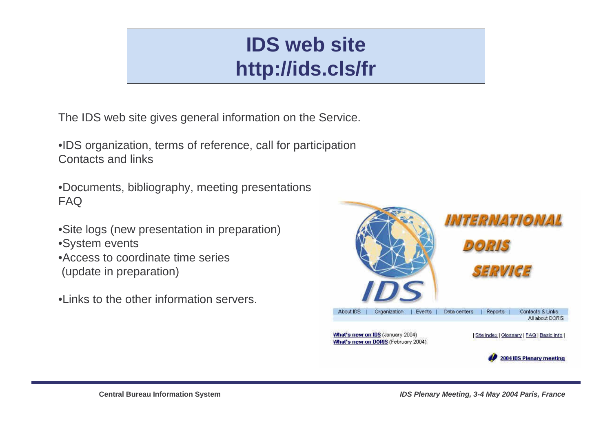## **IDS web sitehttp://ids.cls/fr**

The IDS web site gives general information on the Service.

•IDS organization, terms of reference, call for participationContacts and links

•Documents, bibliography, meeting presentationsFAQ

- •Site logs (new presentation in preparation)
- •System events
- •Access to coordinate time series(update in preparation)
- •Links to the other information servers.

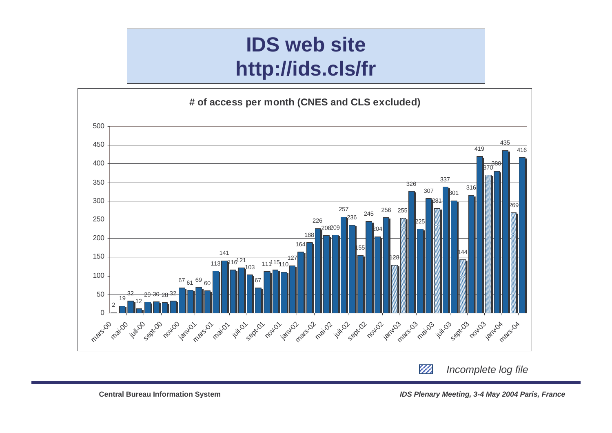## **IDS web sitehttp://ids.cls/fr**



 $\mathbb{Z}$ Incomplete log file

**IDS Plenary Meeting, 3-4 May 2004 Paris, France**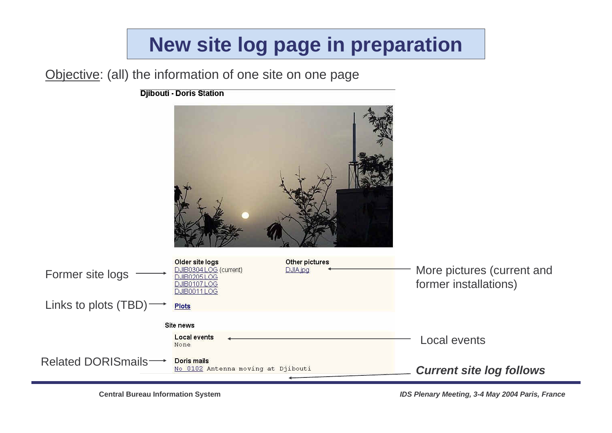## **New site log page in preparation**

Objective: (all) the information of one site on one page

**Djibouti - Doris Station** 



**Central Bureau Information System**

**IDS Plenary Meeting, 3-4 May 2004 Paris, France**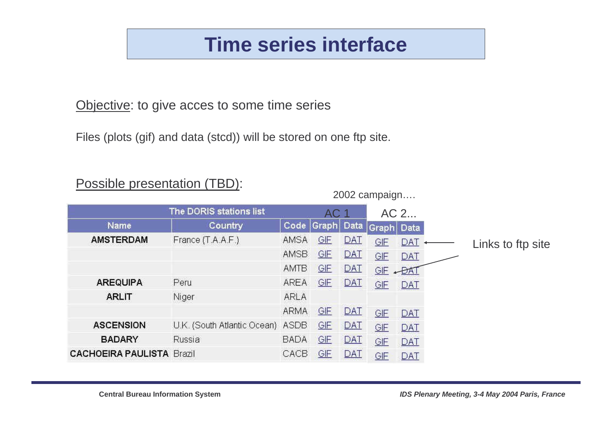### **Time series interface**

Objective: to give acces to some time series

Files (plots (gif) and data (stcd)) will be stored on one ftp site.



#### Possible presentation (TBD):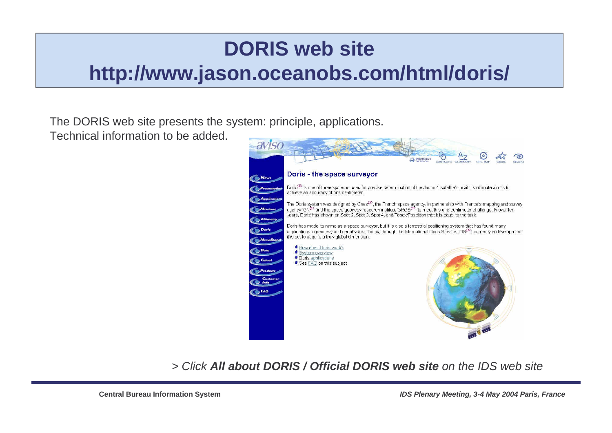# **DORIS web sitehttp://www.jason.oceanobs.com/html/doris/**

#### The DORIS web site presents the system: principle, applications.

Technical information to be added.



> Click **All about DORIS / Official DORIS web site** on the IDS web site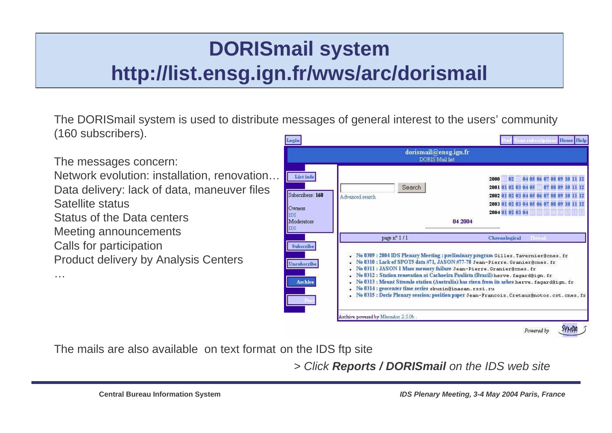## **DORISmail systemhttp://list.ensg.ign.fr/wws/arc/dorismail**

The DORISmail system is used to distribute messages of general interest to the users' community(160 subscribers).

The messages concern:

Network evolution: installation, renovation… Data delivery: lack of data, maneuver files Satellite status

Status of the Data centers

Meeting announcements

Calls for participation

…

Product delivery by Analysis Centers



The mails are also available on text format on the IDS ftp site

> Click **Reports / DORISmail** on the IDS web site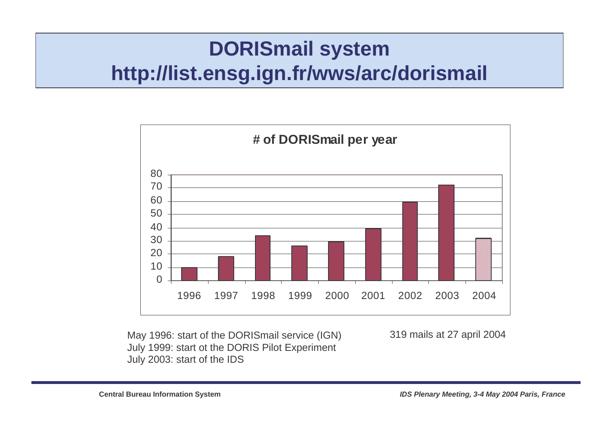### **DORISmail systemhttp://list.ensg.ign.fr/wws/arc/dorismail**



May 1996: start of the DORISmail service (IGN) July 1999: start ot the DORIS Pilot ExperimentJuly 2003: start of the IDS

319 mails at 27 april 2004